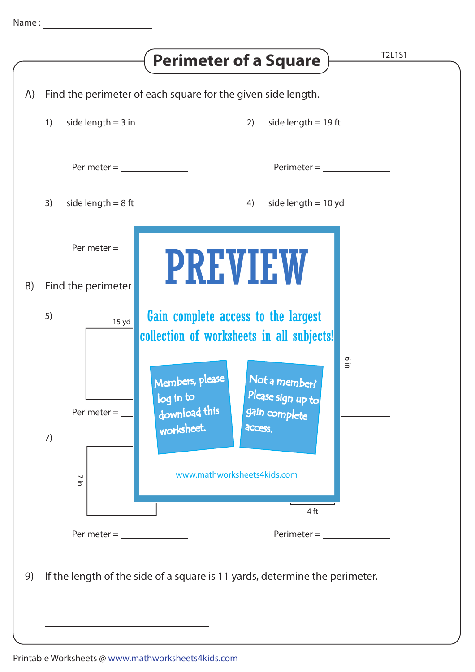